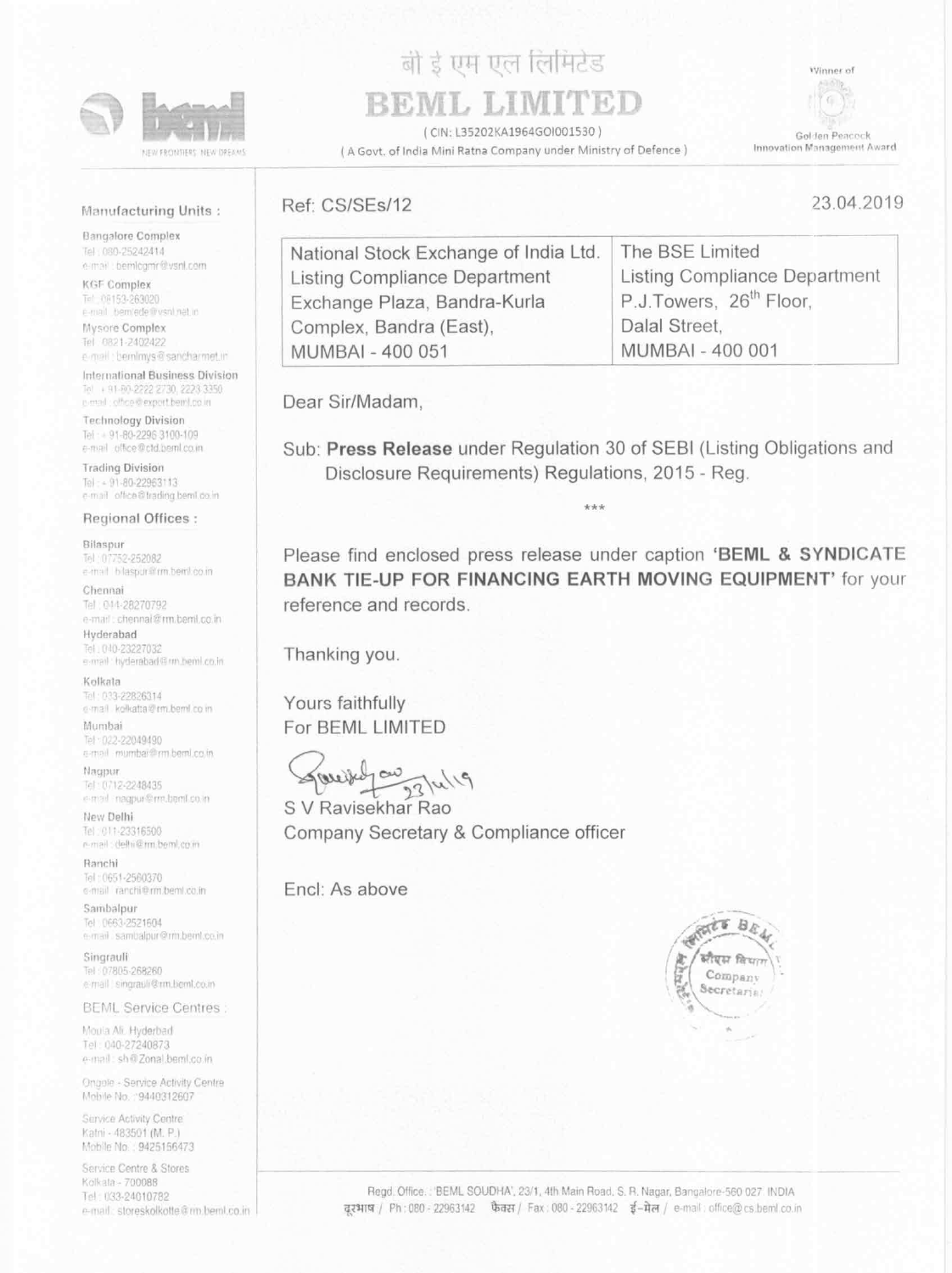

**MEW FRONTIERS NEW DREAMS** 

# बी ई एम एल लिमिटेड

## BEML LIMITED

(CIN: L35202KA1964GOI001530)

(A Govt. of India Mini Ratna Company under Ministry of Defence)

Winner of



23.04.2019

Golden Peacock Innovation Management Award

#### Manufacturing Units:

Bangalore Complex Tel: 080-25242414 e-mail: bemicamr@vsnl.com

**KGF Complex** Tel: 08153-263020 e-mail bemiede@vsnl.net.in

Mysore Complex Tel 0821-2402422 e-mail: bernlmys@sancharmet.in

International Business Division Tel + 91-80-2222 2730, 2223 3350 pletal : othcomexport.bemt.co.in

**Technology Division** Tel: + 91-80-2296 3100-109 a-mini office@ctd.beml.co.in

**Trading Division** Tel: - 91-80-22963113 e-mail office@frading.bemLdo.in Ref: CS/SEs/12

| National Stock Exchange of India Ltd. | The BSE Limited                     |
|---------------------------------------|-------------------------------------|
| Listing Compliance Department         | Listing Compliance Department       |
| Exchange Plaza, Bandra-Kurla          | P.J.Towers, 26 <sup>th</sup> Floor. |
| Complex, Bandra (East),               | Dalal Street,                       |
| MUMBAI - 400 051                      | MUMBAI - 400 001                    |
|                                       |                                     |

Dear Sir/Madam,

Sub: Press Release under Regulation 30 of SEBI (Listing Obligations and Disclosure Requirements) Regulations, 2015 - Reg.

#### Regional Offices:

#### Bilaspur

Tel: 07752-252082 e-mail blaspur@rm.beml.co.in

#### Chennai

Tel: 044-28270792 e-mail: chennal@rm.beml.co.in

Hyderabad Tel: 040-23227032 e-mail : hyderabad@rin.beml.co.in

#### Kolkata

刊: 033-22826314 e-mail kelkatta@rm.beml.co.in

#### Mumbai

Tel: 022-22049490 e-mail mumbar@mn.beml.co.in

#### Nagpur

Tel: 0712-2248435 e-mail magpur@me.bent.co.in

New Delhi Tel: 011-23316500 e-mail : delhi@rm.beml.co.m

#### Ranchi

Tel: 0651-2560370 e-mail ranchi@rm.beml.co.in

#### Sambalpur

Tel: 0663-2521604 e-mail sambalpur@rm.beml.co.in

#### Singrauli

Tel: 07805-268260 e-mail singraph@rm.beml.co.in

**BEML Service Centres** 

Please find enclosed press release under caption 'BEML & SYNDICATE BANK TIE-UP FOR FINANCING EARTH MOVING EQUIPMENT' for your reference and records.

Thanking you.

Yours faithfully For BEML LIMITED

 $1e^{i\theta}$  $23/419$ 

S V Ravisekhar Rao Company Secretary & Compliance officer

Encl: As above



Three pieces

Moula Ali. Hyderbad Tel: 040-27240873 e-mail: sh@Zonal.beml.co.in

Ongole - Service Activity Centre Mobile No. : 9440312607

Service Activity Centre: Katni - 483501 (M. P.) Mobile No.: 9425166473

Service Centre & Stores Kolkala - 700088 Tel: 033-24010782 e-mail: storeskolkotte@rm.beml.co.in

Regd. Office.: 'BEML SOUDHA', 23/1, 4th Main Road. S. R. Nagar, Bangalore-560 027. INDIA दूरभाष / Ph: 080 - 22963142 फेक्स / Fax: 080 - 22963142 ई-मेल / e-mail: office@cs.beml.co.in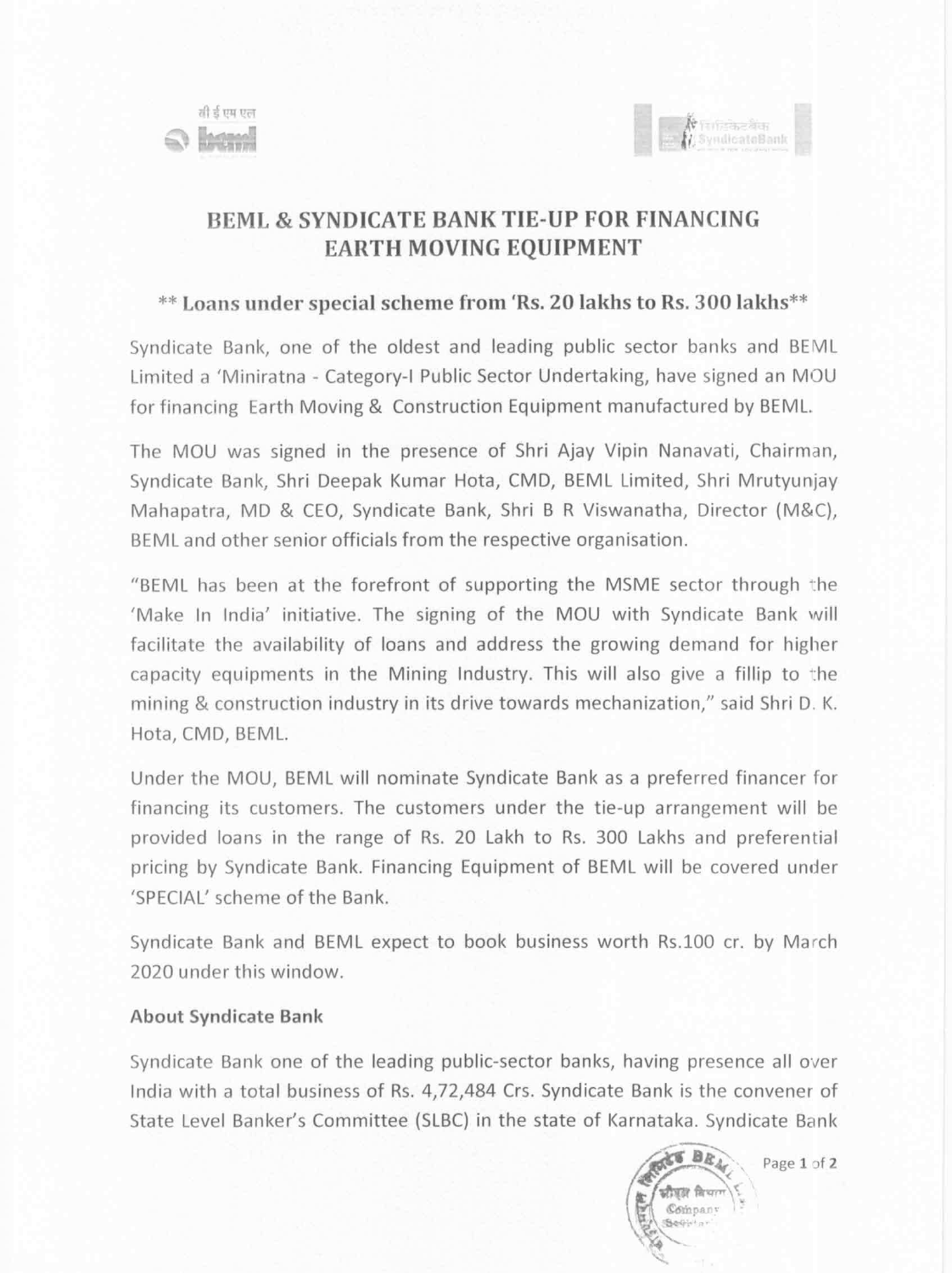



## BEML & SYNDICATE BANK TIE-UP FOR FINANCING EARTH MOVING EQUIPMENT

## $**$  Loans under special scheme from 'Rs. 20 lakhs to Rs. 300 lakhs $**$

Syndicate Bank, one of the oldest and leading public sector banks and BEML Limited <sup>a</sup> 'Miniratna - Category-l Public Sector Undertaking, have signed an MOU for financing Earth Moving & Construction Equipment manufactured by BEML.

The MOU was signed in the presence of Shri Ajay Vipin Nanavati, Chairman, Syndicate Bank, Shri Deepak Kumar Hota, CMD, BEML Limited, Shri Mrutyunjay Mahapatra, MD & CEO, Syndicate Bank, Shri <sup>B</sup> <sup>R</sup> Viswanatha, Director (M&C), BEML and other senior officials from the respective organisation.

"BEML has been at the forefront of supporting the MSME sector through the 'Make In India' initiative. The signing of the MOU with Syndicate Bank will facilitate the availability of loans and address the growing demand for higher capacity equipments in the Mining Industry. This will also give <sup>a</sup> fillip to the mining & construction industry in its drive towards mechanization," said Shri D. K. Hota, CMD, BEML.

Under the MOU, BEML will nominate Syndicate Bank as <sup>a</sup> preferred financer for financing its customers. The customers under the tie-up arrangement will be provided loans in the range of Rs. 20 Lakh to Rs. 300 Lakhs and preferential pricing by Syndicate Bank. Financing Equipment of BEML will be covered under 'SPECIAL' scheme of the Bank.

Syndicate Bank and BEML expect to book business worth Rs.100 cr. by March 2020 under this window.

### About Syndicate Bank

Syndicate Bank one of the leading public-sector banks, having presence all over India with <sup>a</sup> total business of Rs. 4,72,484 Crs. Syndicate Bank is the convener of State Level Banker's Committee (SLBC) in the state of Karnataka. Syndicate Bank